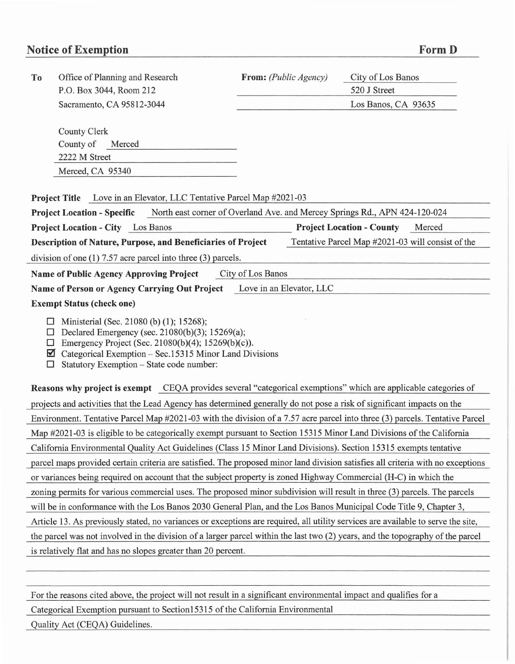## **Notice of Exemption FormD**

| To                                                                                                                                                                                                                                                                                              | Office of Planning and Research                              | From: (Public Agency) | City of Los Banos                |                                                   |
|-------------------------------------------------------------------------------------------------------------------------------------------------------------------------------------------------------------------------------------------------------------------------------------------------|--------------------------------------------------------------|-----------------------|----------------------------------|---------------------------------------------------|
|                                                                                                                                                                                                                                                                                                 | P.O. Box 3044, Room 212                                      |                       | 520 J Street                     |                                                   |
|                                                                                                                                                                                                                                                                                                 | Sacramento, CA 95812-3044                                    |                       | Los Banos, CA 93635              |                                                   |
|                                                                                                                                                                                                                                                                                                 |                                                              |                       |                                  |                                                   |
|                                                                                                                                                                                                                                                                                                 | County Clerk                                                 |                       |                                  |                                                   |
|                                                                                                                                                                                                                                                                                                 | County of<br>Merced                                          |                       |                                  |                                                   |
|                                                                                                                                                                                                                                                                                                 | 2222 M Street                                                |                       |                                  |                                                   |
|                                                                                                                                                                                                                                                                                                 | Merced, CA 95340                                             |                       |                                  |                                                   |
|                                                                                                                                                                                                                                                                                                 |                                                              |                       |                                  |                                                   |
| <b>Project Title</b> Love in an Elevator, LLC Tentative Parcel Map #2021-03                                                                                                                                                                                                                     |                                                              |                       |                                  |                                                   |
| North east corner of Overland Ave. and Mercey Springs Rd., APN 424-120-024<br><b>Project Location - Specific</b>                                                                                                                                                                                |                                                              |                       |                                  |                                                   |
|                                                                                                                                                                                                                                                                                                 | <b>Project Location - City</b> Los Banos                     |                       | <b>Project Location - County</b> | Merced                                            |
|                                                                                                                                                                                                                                                                                                 | Description of Nature, Purpose, and Beneficiaries of Project |                       |                                  | Tentative Parcel Map #2021-03 will consist of the |
| division of one $(1)$ 7.57 acre parcel into three $(3)$ parcels.                                                                                                                                                                                                                                |                                                              |                       |                                  |                                                   |
| City of Los Banos<br><b>Name of Public Agency Approving Project</b>                                                                                                                                                                                                                             |                                                              |                       |                                  |                                                   |
| Love in an Elevator, LLC<br>Name of Person or Agency Carrying Out Project                                                                                                                                                                                                                       |                                                              |                       |                                  |                                                   |
| <b>Exempt Status (check one)</b>                                                                                                                                                                                                                                                                |                                                              |                       |                                  |                                                   |
| Ministerial (Sec. 21080 (b) (1); 15268);<br>□<br>Declared Emergency (sec. 21080(b)(3); 15269(a);<br>$\Box$<br>Emergency Project (Sec. 21080(b)(4); 15269(b)(c)).<br>$\Box$<br>Categorical Exemption – Sec.15315 Minor Land Divisions<br>M<br>Statutory Exemption - State code number:<br>$\Box$ |                                                              |                       |                                  |                                                   |
| Reasons why project is exempt CEQA provides several "categorical exemptions" which are applicable categories of                                                                                                                                                                                 |                                                              |                       |                                  |                                                   |
| projects and activities that the Lead Agency has determined generally do not pose a risk of significant impacts on the                                                                                                                                                                          |                                                              |                       |                                  |                                                   |
| Environment. Tentative Parcel Map #2021-03 with the division of a 7.57 acre parcel into three (3) parcels. Tentative Parcel                                                                                                                                                                     |                                                              |                       |                                  |                                                   |
| Map #2021-03 is eligible to be categorically exempt pursuant to Section 15315 Minor Land Divisions of the California                                                                                                                                                                            |                                                              |                       |                                  |                                                   |
| California Environmental Quality Act Guidelines (Class 15 Minor Land Divisions). Section 15315 exempts tentative                                                                                                                                                                                |                                                              |                       |                                  |                                                   |
| parcel maps provided certain criteria are satisfied. The proposed minor land division satisfies all criteria with no exceptions                                                                                                                                                                 |                                                              |                       |                                  |                                                   |
| or variances being required on account that the subject property is zoned Highway Commercial (H-C) in which the                                                                                                                                                                                 |                                                              |                       |                                  |                                                   |
| zoning permits for various commercial uses. The proposed minor subdivision will result in three (3) parcels. The parcels                                                                                                                                                                        |                                                              |                       |                                  |                                                   |
| will be in conformance with the Los Banos 2030 General Plan, and the Los Banos Municipal Code Title 9, Chapter 3,                                                                                                                                                                               |                                                              |                       |                                  |                                                   |
| Article 13. As previously stated, no variances or exceptions are required, all utility services are available to serve the site,                                                                                                                                                                |                                                              |                       |                                  |                                                   |
| the parcel was not involved in the division of a larger parcel within the last two (2) years, and the topography of the parcel                                                                                                                                                                  |                                                              |                       |                                  |                                                   |
| is relatively flat and has no slopes greater than 20 percent.                                                                                                                                                                                                                                   |                                                              |                       |                                  |                                                   |
|                                                                                                                                                                                                                                                                                                 |                                                              |                       |                                  |                                                   |

For the reasons cited above, the project will not result in a significant environmental impact and qualifies for a Categorical Exemption pursuant to Section15315 of the California Environmental

Quality Act (CEQA) Guidelines.